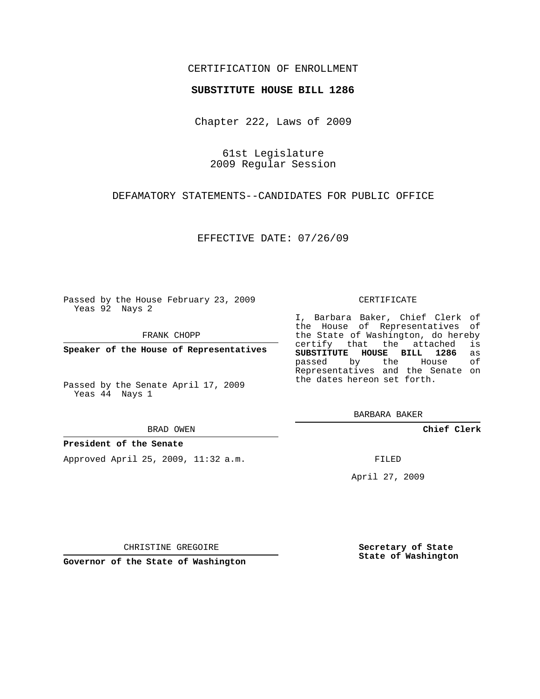## CERTIFICATION OF ENROLLMENT

### **SUBSTITUTE HOUSE BILL 1286**

Chapter 222, Laws of 2009

61st Legislature 2009 Regular Session

DEFAMATORY STATEMENTS--CANDIDATES FOR PUBLIC OFFICE

EFFECTIVE DATE: 07/26/09

Passed by the House February 23, 2009 Yeas 92 Nays 2

FRANK CHOPP

**Speaker of the House of Representatives**

Passed by the Senate April 17, 2009 Yeas 44 Nays 1

#### BRAD OWEN

### **President of the Senate**

Approved April 25, 2009, 11:32 a.m.

#### CERTIFICATE

I, Barbara Baker, Chief Clerk of the House of Representatives of the State of Washington, do hereby<br>certify that the attached is certify that the attached **SUBSTITUTE HOUSE BILL 1286** as passed by the House of Representatives and the Senate on the dates hereon set forth.

BARBARA BAKER

**Chief Clerk**

FILED

April 27, 2009

CHRISTINE GREGOIRE

**Governor of the State of Washington**

**Secretary of State State of Washington**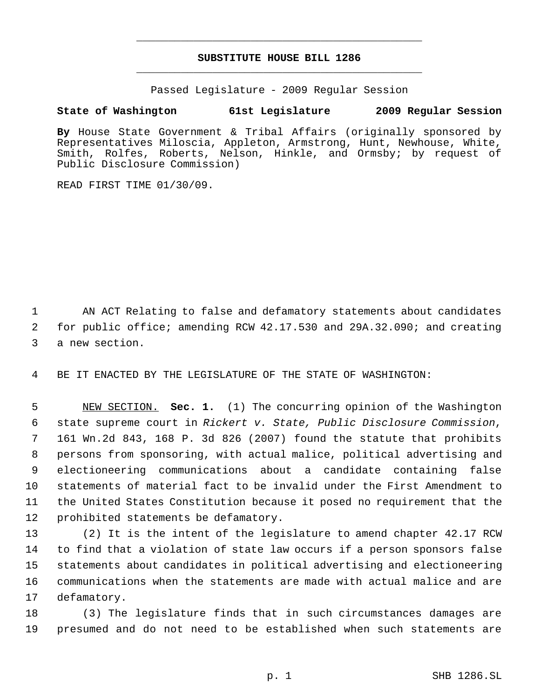## **SUBSTITUTE HOUSE BILL 1286** \_\_\_\_\_\_\_\_\_\_\_\_\_\_\_\_\_\_\_\_\_\_\_\_\_\_\_\_\_\_\_\_\_\_\_\_\_\_\_\_\_\_\_\_\_

\_\_\_\_\_\_\_\_\_\_\_\_\_\_\_\_\_\_\_\_\_\_\_\_\_\_\_\_\_\_\_\_\_\_\_\_\_\_\_\_\_\_\_\_\_

Passed Legislature - 2009 Regular Session

# **State of Washington 61st Legislature 2009 Regular Session**

**By** House State Government & Tribal Affairs (originally sponsored by Representatives Miloscia, Appleton, Armstrong, Hunt, Newhouse, White, Smith, Rolfes, Roberts, Nelson, Hinkle, and Ormsby; by request of Public Disclosure Commission)

READ FIRST TIME 01/30/09.

 AN ACT Relating to false and defamatory statements about candidates for public office; amending RCW 42.17.530 and 29A.32.090; and creating a new section.

BE IT ENACTED BY THE LEGISLATURE OF THE STATE OF WASHINGTON:

 NEW SECTION. **Sec. 1.** (1) The concurring opinion of the Washington state supreme court in *Rickert v. State, Public Disclosure Commission*, 161 Wn.2d 843, 168 P. 3d 826 (2007) found the statute that prohibits persons from sponsoring, with actual malice, political advertising and electioneering communications about a candidate containing false statements of material fact to be invalid under the First Amendment to the United States Constitution because it posed no requirement that the prohibited statements be defamatory.

 (2) It is the intent of the legislature to amend chapter 42.17 RCW to find that a violation of state law occurs if a person sponsors false statements about candidates in political advertising and electioneering communications when the statements are made with actual malice and are defamatory.

 (3) The legislature finds that in such circumstances damages are presumed and do not need to be established when such statements are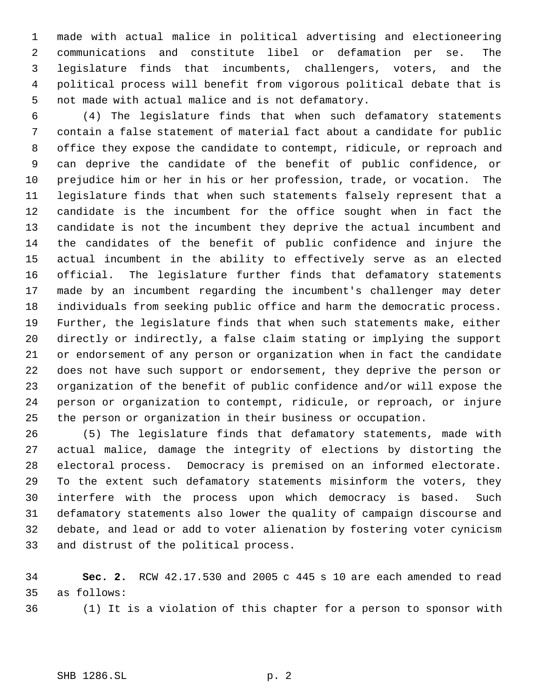made with actual malice in political advertising and electioneering communications and constitute libel or defamation per se. The legislature finds that incumbents, challengers, voters, and the political process will benefit from vigorous political debate that is not made with actual malice and is not defamatory.

 (4) The legislature finds that when such defamatory statements contain a false statement of material fact about a candidate for public office they expose the candidate to contempt, ridicule, or reproach and can deprive the candidate of the benefit of public confidence, or prejudice him or her in his or her profession, trade, or vocation. The legislature finds that when such statements falsely represent that a candidate is the incumbent for the office sought when in fact the candidate is not the incumbent they deprive the actual incumbent and the candidates of the benefit of public confidence and injure the actual incumbent in the ability to effectively serve as an elected official. The legislature further finds that defamatory statements made by an incumbent regarding the incumbent's challenger may deter individuals from seeking public office and harm the democratic process. Further, the legislature finds that when such statements make, either directly or indirectly, a false claim stating or implying the support or endorsement of any person or organization when in fact the candidate does not have such support or endorsement, they deprive the person or organization of the benefit of public confidence and/or will expose the person or organization to contempt, ridicule, or reproach, or injure the person or organization in their business or occupation.

 (5) The legislature finds that defamatory statements, made with actual malice, damage the integrity of elections by distorting the electoral process. Democracy is premised on an informed electorate. To the extent such defamatory statements misinform the voters, they interfere with the process upon which democracy is based. Such defamatory statements also lower the quality of campaign discourse and debate, and lead or add to voter alienation by fostering voter cynicism and distrust of the political process.

 **Sec. 2.** RCW 42.17.530 and 2005 c 445 s 10 are each amended to read as follows:

(1) It is a violation of this chapter for a person to sponsor with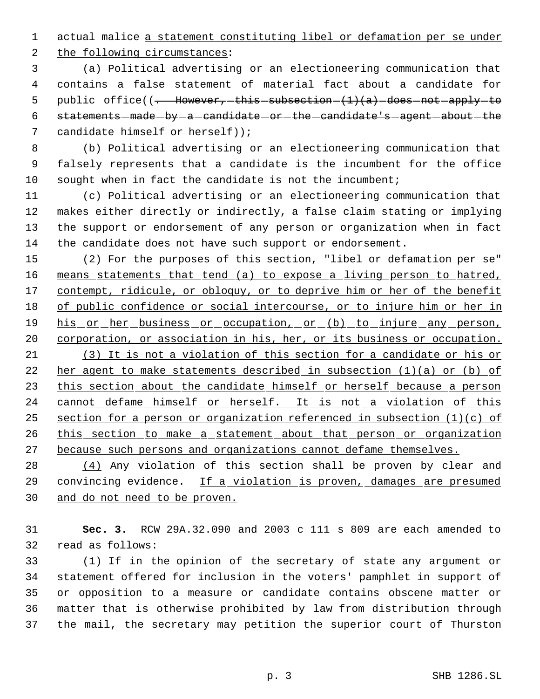actual malice a statement constituting libel or defamation per se under

the following circumstances:

 (a) Political advertising or an electioneering communication that contains a false statement of material fact about a candidate for 5 public office( $\left(-\right.$  However, this subsection  $(1)(a)$  does not apply to statements-made-by-a-candidate-or-the-candidate's-agent-about-the candidate himself or herself));

 (b) Political advertising or an electioneering communication that falsely represents that a candidate is the incumbent for the office sought when in fact the candidate is not the incumbent;

 (c) Political advertising or an electioneering communication that makes either directly or indirectly, a false claim stating or implying the support or endorsement of any person or organization when in fact the candidate does not have such support or endorsement.

 (2) For the purposes of this section, "libel or defamation per se" means statements that tend (a) to expose a living person to hatred, 17 contempt, ridicule, or obloquy, or to deprive him or her of the benefit 18 of public confidence or social intercourse, or to injure him or her in 19 his or her business or occupation, or (b) to injure any person, corporation, or association in his, her, or its business or occupation. (3) It is not a violation of this section for a candidate or his or her agent to make statements described in subsection (1)(a) or (b) of 23 this section about the candidate himself or herself because a person 24 cannot defame himself or herself. It is not a violation of this section for a person or organization referenced in subsection (1)(c) of 26 this section to make a statement about that person or organization because such persons and organizations cannot defame themselves.

28  $(4)$  Any violation of this section shall be proven by clear and convincing evidence. If a violation is proven, damages are presumed and do not need to be proven.

 **Sec. 3.** RCW 29A.32.090 and 2003 c 111 s 809 are each amended to read as follows:

 (1) If in the opinion of the secretary of state any argument or statement offered for inclusion in the voters' pamphlet in support of or opposition to a measure or candidate contains obscene matter or matter that is otherwise prohibited by law from distribution through the mail, the secretary may petition the superior court of Thurston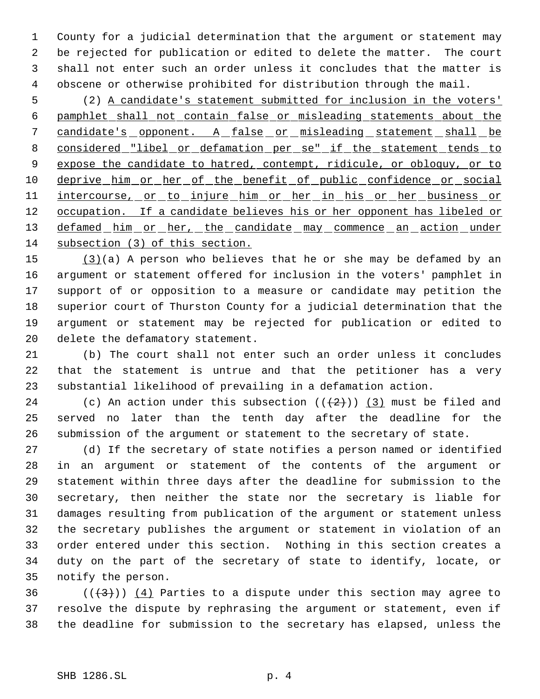County for a judicial determination that the argument or statement may be rejected for publication or edited to delete the matter. The court shall not enter such an order unless it concludes that the matter is obscene or otherwise prohibited for distribution through the mail.

 (2) A candidate's statement submitted for inclusion in the voters' pamphlet shall not contain false or misleading statements about the 7 candidate's opponent. A false or misleading statement shall be 8 considered "libel or defamation per se" if the statement tends to 9 expose the candidate to hatred, contempt, ridicule, or obloquy, or to 10 deprive him or her of the benefit of public confidence or social 11 intercourse, or to injure him or her in his or her business or 12 occupation. If a candidate believes his or her opponent has libeled or 13 defamed him or her, the candidate may commence an action under subsection (3) of this section.

 (3)(a) A person who believes that he or she may be defamed by an argument or statement offered for inclusion in the voters' pamphlet in support of or opposition to a measure or candidate may petition the superior court of Thurston County for a judicial determination that the argument or statement may be rejected for publication or edited to delete the defamatory statement.

 (b) The court shall not enter such an order unless it concludes that the statement is untrue and that the petitioner has a very substantial likelihood of prevailing in a defamation action.

24 (c) An action under this subsection  $((+2)^2)$  (3) must be filed and served no later than the tenth day after the deadline for the submission of the argument or statement to the secretary of state.

 (d) If the secretary of state notifies a person named or identified in an argument or statement of the contents of the argument or statement within three days after the deadline for submission to the secretary, then neither the state nor the secretary is liable for damages resulting from publication of the argument or statement unless the secretary publishes the argument or statement in violation of an order entered under this section. Nothing in this section creates a duty on the part of the secretary of state to identify, locate, or notify the person.

36  $((\langle 3 \rangle)(4)$  Parties to a dispute under this section may agree to resolve the dispute by rephrasing the argument or statement, even if the deadline for submission to the secretary has elapsed, unless the